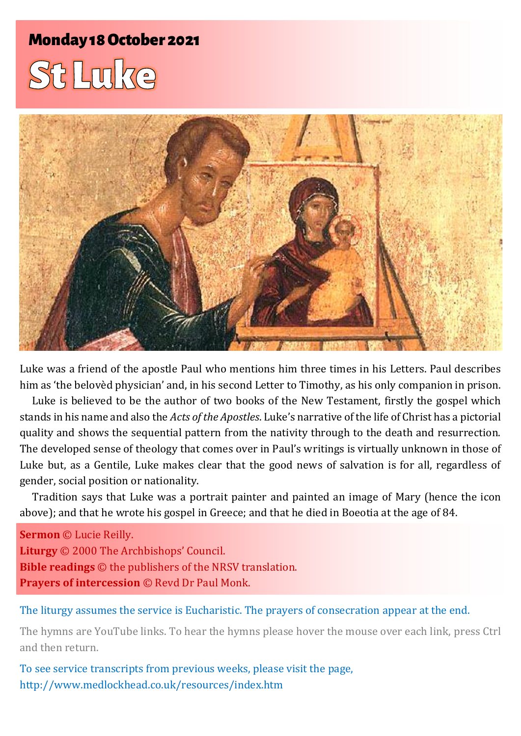# **Monday 18 October 2021**





Luke was a friend of the apostle Paul who mentions him three times in his Letters. Paul describes him as 'the belovèd physician' and, in his second Letter to Timothy, as his only companion in prison.

Luke is believed to be the author of two books of the New Testament, firstly the gospel which stands in his name and also the *Acts of the Apostles*. Luke's narrative of the life of Christ has a pictorial quality and shows the sequential pattern from the nativity through to the death and resurrection. The developed sense of theology that comes over in Paul's writings is virtually unknown in those of Luke but, as a Gentile, Luke makes clear that the good news of salvation is for all, regardless of gender, social position or nationality.

Tradition says that Luke was a portrait painter and painted an image of Mary (hence the icon above); and that he wrote his gospel in Greece; and that he died in Boeotia at the age of 84.

**Sermon** © Lucie Reilly. **Liturgy** © 2000 The Archbishops' Council. **Bible readings** © the publishers of the NRSV translation. **Prayers of intercession** © Revd Dr Paul Monk.

The liturgy assumes the service is Eucharistic. The prayers of consecration appear at the end.

The hymns are YouTube links. To hear the hymns please hover the mouse over each link, press Ctrl and then return.

To see service transcripts from previous weeks, please visit the page, <http://www.medlockhead.co.uk/resources/index.htm>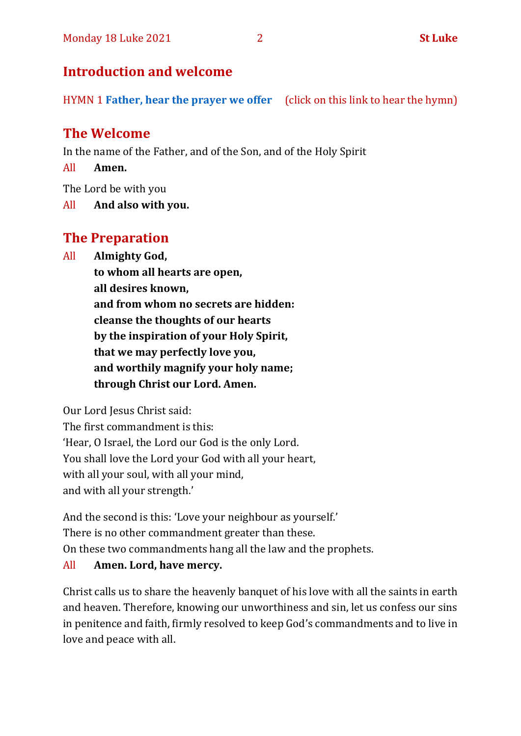## **Introduction and welcome**

HYMN 1 **[Father, hear the prayer we offer](https://www.youtube.com/watch?v=CFoactKMJHQ)** (click on this link to hear the hymn)

# **The Welcome**

In the name of the Father, and of the Son, and of the Holy Spirit

All **Amen.**

The Lord be with you

All **And also with you.**

## **The Preparation**

All **Almighty God,**

**to whom all hearts are open, all desires known, and from whom no secrets are hidden: cleanse the thoughts of our hearts by the inspiration of your Holy Spirit, that we may perfectly love you, and worthily magnify your holy name; through Christ our Lord. Amen.**

Our Lord Jesus Christ said:

The first commandment is this: 'Hear, O Israel, the Lord our God is the only Lord. You shall love the Lord your God with all your heart, with all your soul, with all your mind, and with all your strength.'

And the second is this: 'Love your neighbour as yourself.' There is no other commandment greater than these. On these two commandments hang all the law and the prophets.

#### All **Amen. Lord, have mercy.**

Christ calls us to share the heavenly banquet of his love with all the saints in earth and heaven. Therefore, knowing our unworthiness and sin, let us confess our sins in penitence and faith, firmly resolved to keep God's commandments and to live in love and peace with all.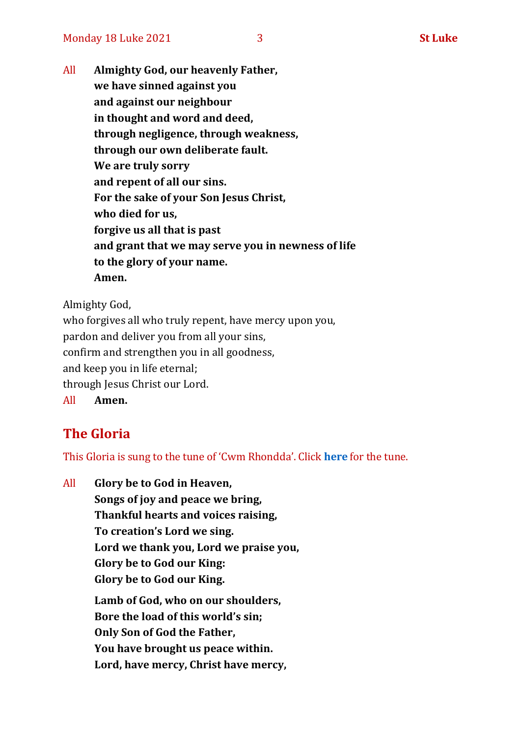All **Almighty God, our heavenly Father, we have sinned against you and against our neighbour in thought and word and deed, through negligence, through weakness, through our own deliberate fault. We are truly sorry and repent of all our sins. For the sake of your Son Jesus Christ, who died for us, forgive us all that is past and grant that we may serve you in newness of life to the glory of your name. Amen.**

Almighty God,

who forgives all who truly repent, have mercy upon you, pardon and deliver you from all your sins, confirm and strengthen you in all goodness, and keep you in life eternal; through Jesus Christ our Lord. All **Amen.**

# **The Gloria**

This Gloria is sung to the tune of 'Cwm Rhondda'. Click **[here](https://www.youtube.com/watch?v=l71MLQ22dIk)** for the tune.

All **Glory be to God in Heaven, Songs of joy and peace we bring, Thankful hearts and voices raising, To creation's Lord we sing. Lord we thank you, Lord we praise you, Glory be to God our King: Glory be to God our King. Lamb of God, who on our shoulders, Bore the load of this world's sin; Only Son of God the Father, You have brought us peace within. Lord, have mercy, Christ have mercy,**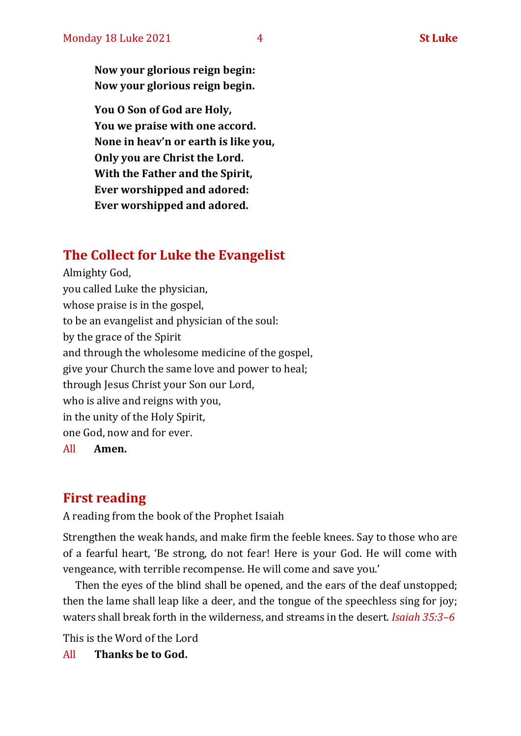**Now your glorious reign begin: Now your glorious reign begin.**

**You O Son of God are Holy, You we praise with one accord. None in heav'n or earth is like you, Only you are Christ the Lord. With the Father and the Spirit, Ever worshipped and adored: Ever worshipped and adored.**

### **The Collect for Luke the Evangelist**

Almighty God, you called Luke the physician, whose praise is in the gospel, to be an evangelist and physician of the soul: by the grace of the Spirit and through the wholesome medicine of the gospel, give your Church the same love and power to heal; through Jesus Christ your Son our Lord, who is alive and reigns with you, in the unity of the Holy Spirit, one God, now and for ever.

All **Amen.**

# **First reading**

A reading from the book of the Prophet Isaiah

Strengthen the weak hands, and make firm the feeble knees. Say to those who are of a fearful heart, 'Be strong, do not fear! Here is your God. He will come with vengeance, with terrible recompense. He will come and save you.'

Then the eyes of the blind shall be opened, and the ears of the deaf unstopped; then the lame shall leap like a deer, and the tongue of the speechless sing for joy; waters shall break forth in the wilderness, and streams in the desert. *Isaiah 35:3–6* 

This is the Word of the Lord All **Thanks be to God.**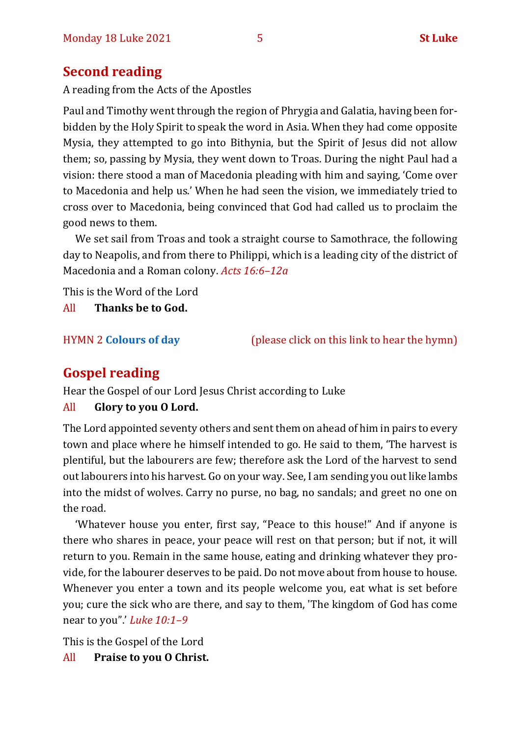# **Second reading**

A reading from the Acts of the Apostles

Paul and Timothy went through the region of Phrygia and Galatia, having been forbidden by the Holy Spirit to speak the word in Asia. When they had come opposite Mysia, they attempted to go into Bithynia, but the Spirit of Jesus did not allow them; so, passing by Mysia, they went down to Troas. During the night Paul had a vision: there stood a man of Macedonia pleading with him and saying, 'Come over to Macedonia and help us.' When he had seen the vision, we immediately tried to cross over to Macedonia, being convinced that God had called us to proclaim the good news to them.

We set sail from Troas and took a straight course to Samothrace, the following day to Neapolis, and from there to Philippi, which is a leading city of the district of Macedonia and a Roman colony. *Acts 16:6–12a*

This is the Word of the Lord

All **Thanks be to God.**

HYMN 2 **[Colours of day](https://www.youtube.com/watch?v=Fo-3lf08y-Y)** (please click on this link to hear the hymn)

# **Gospel reading**

Hear the Gospel of our Lord Jesus Christ according to Luke

All **Glory to you O Lord.**

The Lord appointed seventy others and sent them on ahead of him in pairs to every town and place where he himself intended to go. He said to them, 'The harvest is plentiful, but the labourers are few; therefore ask the Lord of the harvest to send out labourers into his harvest. Go on your way. See, I am sending you out like lambs into the midst of wolves. Carry no purse, no bag, no sandals; and greet no one on the road.

'Whatever house you enter, first say, "Peace to this house!" And if anyone is there who shares in peace, your peace will rest on that person; but if not, it will return to you. Remain in the same house, eating and drinking whatever they provide, for the labourer deserves to be paid. Do not move about from house to house. Whenever you enter a town and its people welcome you, eat what is set before you; cure the sick who are there, and say to them, 'The kingdom of God has come near to you".' *Luke 10:1–9*

This is the Gospel of the Lord All **Praise to you O Christ.**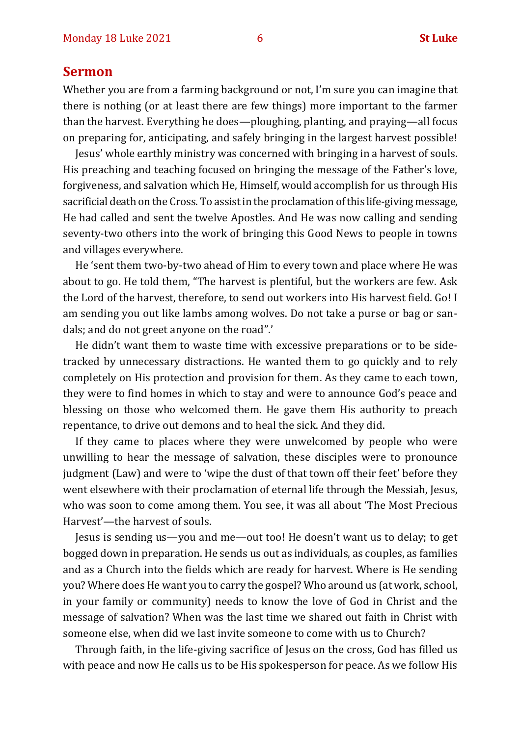#### **Sermon**

Whether you are from a farming background or not, I'm sure you can imagine that there is nothing (or at least there are few things) more important to the farmer than the harvest. Everything he does—ploughing, planting, and praying—all focus on preparing for, anticipating, and safely bringing in the largest harvest possible!

Jesus' whole earthly ministry was concerned with bringing in a harvest of souls. His preaching and teaching focused on bringing the message of the Father's love, forgiveness, and salvation which He, Himself, would accomplish for us through His sacrificial death on the Cross. To assist in the proclamation of this life-giving message, He had called and sent the twelve Apostles. And He was now calling and sending seventy-two others into the work of bringing this Good News to people in towns and villages everywhere.

He 'sent them two-by-two ahead of Him to every town and place where He was about to go. He told them, "The harvest is plentiful, but the workers are few. Ask the Lord of the harvest, therefore, to send out workers into His harvest field. Go! I am sending you out like lambs among wolves. Do not take a purse or bag or sandals; and do not greet anyone on the road".'

He didn't want them to waste time with excessive preparations or to be sidetracked by unnecessary distractions. He wanted them to go quickly and to rely completely on His protection and provision for them. As they came to each town, they were to find homes in which to stay and were to announce God's peace and blessing on those who welcomed them. He gave them His authority to preach repentance, to drive out demons and to heal the sick. And they did.

If they came to places where they were unwelcomed by people who were unwilling to hear the message of salvation, these disciples were to pronounce judgment (Law) and were to 'wipe the dust of that town off their feet' before they went elsewhere with their proclamation of eternal life through the Messiah, Jesus, who was soon to come among them. You see, it was all about 'The Most Precious Harvest'—the harvest of souls.

Jesus is sending us—you and me—out too! He doesn't want us to delay; to get bogged down in preparation. He sends us out as individuals, as couples, as families and as a Church into the fields which are ready for harvest. Where is He sending you? Where does He want you to carry the gospel? Who around us (at work, school, in your family or community) needs to know the love of God in Christ and the message of salvation? When was the last time we shared out faith in Christ with someone else, when did we last invite someone to come with us to Church?

Through faith, in the life-giving sacrifice of Jesus on the cross, God has filled us with peace and now He calls us to be His spokesperson for peace. As we follow His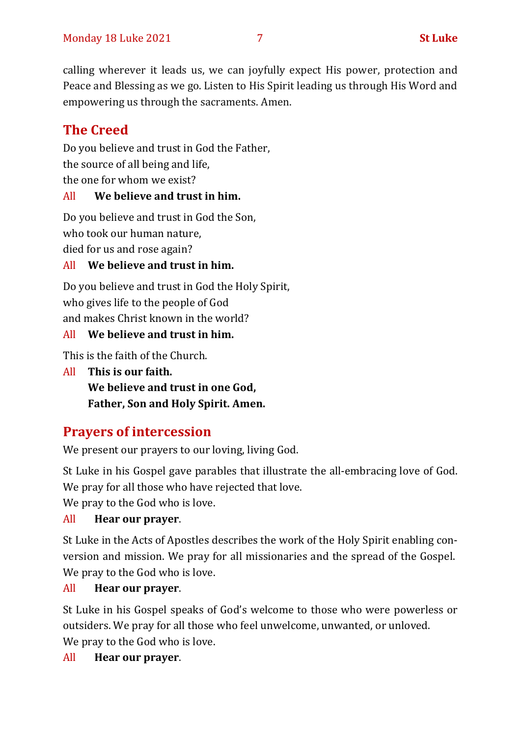calling wherever it leads us, we can joyfully expect His power, protection and Peace and Blessing as we go. Listen to His Spirit leading us through His Word and empowering us through the sacraments. Amen.

# **The Creed**

Do you believe and trust in God the Father, the source of all being and life, the one for whom we exist?

#### All **We believe and trust in him.**

Do you believe and trust in God the Son,

who took our human nature,

died for us and rose again?

#### All **We believe and trust in him.**

Do you believe and trust in God the Holy Spirit, who gives life to the people of God and makes Christ known in the world?

#### All **We believe and trust in him.**

This is the faith of the Church.

All **This is our faith. We believe and trust in one God, Father, Son and Holy Spirit. Amen.**

# **Prayers of intercession**

We present our prayers to our loving, living God.

St Luke in his Gospel gave parables that illustrate the all-embracing love of God. We pray for all those who have rejected that love.

We pray to the God who is love.

#### All **Hear our prayer**.

St Luke in the Acts of Apostles describes the work of the Holy Spirit enabling conversion and mission. We pray for all missionaries and the spread of the Gospel. We pray to the God who is love.

#### All **Hear our prayer**.

St Luke in his Gospel speaks of God's welcome to those who were powerless or outsiders. We pray for all those who feel unwelcome, unwanted, or unloved. We pray to the God who is love.

All **Hear our prayer**.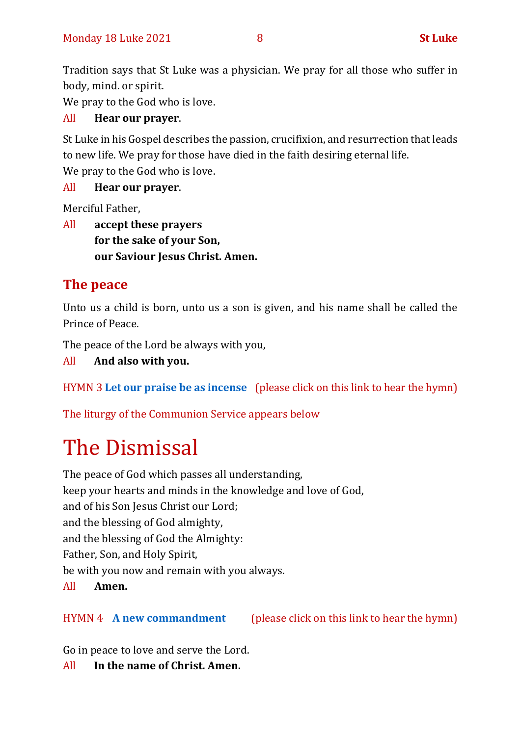Tradition says that St Luke was a physician. We pray for all those who suffer in body, mind. or spirit.

We pray to the God who is love.

#### All **Hear our prayer**.

St Luke in his Gospel describes the passion, crucifixion, and resurrection that leads to new life. We pray for those have died in the faith desiring eternal life. We pray to the God who is love.

#### All **Hear our prayer**.

Merciful Father,

All **accept these prayers for the sake of your Son, our Saviour Jesus Christ. Amen.**

# **The peace**

Unto us a child is born, unto us a son is given, and his name shall be called the Prince of Peace.

The peace of the Lord be always with you,

All **And also with you.**

HYMN 3 **[Let our praise be as incense](https://www.youtube.com/watch?v=s0z4_uYTD24)** (please click on this link to hear the hymn)

The liturgy of the Communion Service appears below

# The Dismissal

The peace of God which passes all understanding, keep your hearts and minds in the knowledge and love of God, and of his Son Jesus Christ our Lord; and the blessing of God almighty, and the blessing of God the Almighty: Father, Son, and Holy Spirit, be with you now and remain with you always.

All **Amen.**

HYMN 4 **[A new commandment](https://www.youtube.com/watch?v=_0A5T9sD8Ug)** (please click on this link to hear the hymn)

Go in peace to love and serve the Lord.

All **In the name of Christ. Amen.**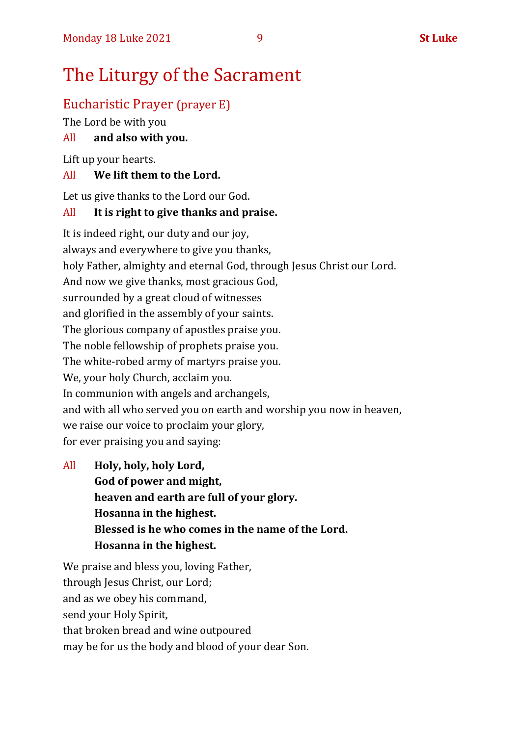# The Liturgy of the Sacrament

# Eucharistic Prayer (prayer E)

The Lord be with you

### All **and also with you.**

Lift up your hearts.

#### All **We lift them to the Lord.**

Let us give thanks to the Lord our God.

#### All **It is right to give thanks and praise.**

It is indeed right, our duty and our joy, always and everywhere to give you thanks, holy Father, almighty and eternal God, through Jesus Christ our Lord. And now we give thanks, most gracious God, surrounded by a great cloud of witnesses and glorified in the assembly of your saints. The glorious company of apostles praise you. The noble fellowship of prophets praise you. The white-robed army of martyrs praise you. We, your holy Church, acclaim you. In communion with angels and archangels, and with all who served you on earth and worship you now in heaven, we raise our voice to proclaim your glory, for ever praising you and saying:

All **Holy, holy, holy Lord, God of power and might, heaven and earth are full of your glory. Hosanna in the highest. Blessed is he who comes in the name of the Lord. Hosanna in the highest.**

We praise and bless you, loving Father, through Jesus Christ, our Lord; and as we obey his command, send your Holy Spirit, that broken bread and wine outpoured may be for us the body and blood of your dear Son.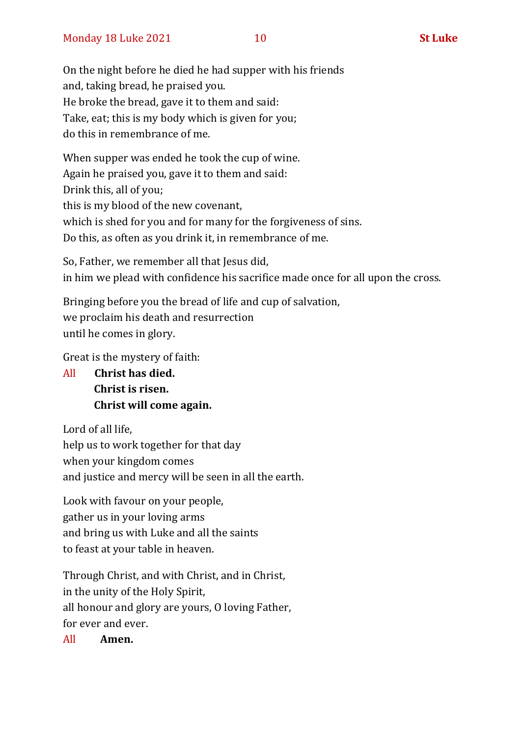On the night before he died he had supper with his friends and, taking bread, he praised you. He broke the bread, gave it to them and said: Take, eat; this is my body which is given for you; do this in remembrance of me.

When supper was ended he took the cup of wine. Again he praised you, gave it to them and said: Drink this, all of you; this is my blood of the new covenant, which is shed for you and for many for the forgiveness of sins. Do this, as often as you drink it, in remembrance of me.

So, Father, we remember all that Jesus did, in him we plead with confidence his sacrifice made once for all upon the cross.

Bringing before you the bread of life and cup of salvation, we proclaim his death and resurrection until he comes in glory.

Great is the mystery of faith:

All **Christ has died. Christ is risen. Christ will come again.**

Lord of all life, help us to work together for that day when your kingdom comes and justice and mercy will be seen in all the earth.

Look with favour on your people, gather us in your loving arms and bring us with Luke and all the saints to feast at your table in heaven.

Through Christ, and with Christ, and in Christ, in the unity of the Holy Spirit, all honour and glory are yours, O loving Father, for ever and ever.

All **Amen.**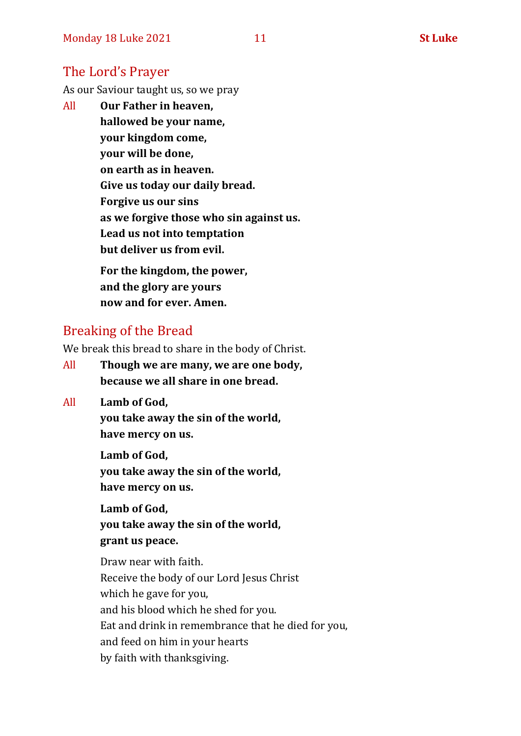#### The Lord's Prayer

As our Saviour taught us, so we pray

All **Our Father in heaven, hallowed be your name, your kingdom come, your will be done, on earth as in heaven. Give us today our daily bread. Forgive us our sins as we forgive those who sin against us. Lead us not into temptation but deliver us from evil. For the kingdom, the power,** 

**and the glory are yours now and for ever. Amen.**

#### Breaking of the Bread

We break this bread to share in the body of Christ.

- All **Though we are many, we are one body, because we all share in one bread.**
- All **Lamb of God,**

**you take away the sin of the world, have mercy on us.**

**Lamb of God, you take away the sin of the world, have mercy on us.**

**Lamb of God, you take away the sin of the world, grant us peace.**

Draw near with faith. Receive the body of our Lord Jesus Christ which he gave for you, and his blood which he shed for you. Eat and drink in remembrance that he died for you, and feed on him in your hearts by faith with thanksgiving.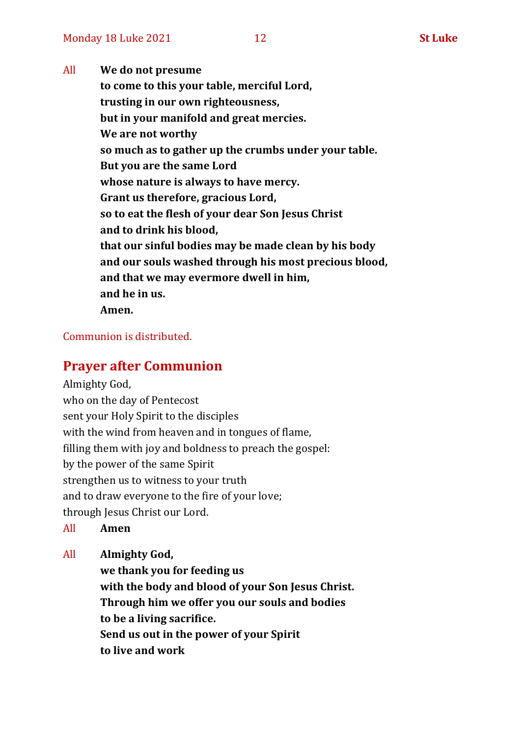All **We do not presume to come to this your table, merciful Lord, trusting in our own righteousness, but in your manifold and great mercies. We are not worthy so much as to gather up the crumbs under your table. But you are the same Lord whose nature is always to have mercy. Grant us therefore, gracious Lord, so to eat the flesh of your dear Son Jesus Christ and to drink his blood, that our sinful bodies may be made clean by his body and our souls washed through his most precious blood, and that we may evermore dwell in him, and he in us. Amen.**

#### Communion is distributed.

#### **Prayer after Communion**

Almighty God, who on the day of Pentecost sent your Holy Spirit to the disciples with the wind from heaven and in tongues of flame, filling them with joy and boldness to preach the gospel: by the power of the same Spirit strengthen us to witness to your truth and to draw everyone to the fire of your love; through Jesus Christ our Lord.

All **Amen**

All **Almighty God,**

**we thank you for feeding us with the body and blood of your Son Jesus Christ. Through him we offer you our souls and bodies to be a living sacrifice. Send us out in the power of your Spirit to live and work**